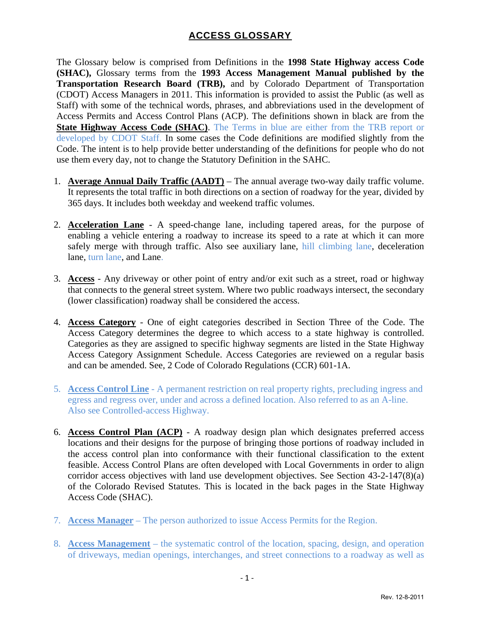The Glossary below is comprised from Definitions in the **1998 State Highway access Code (SHAC),** Glossary terms from the **1993 Access Management Manual published by the Transportation Research Board (TRB),** and by Colorado Department of Transportation (CDOT) Access Managers in 2011. This information is provided to assist the Public (as well as Staff) with some of the technical words, phrases, and abbreviations used in the development of Access Permits and Access Control Plans (ACP). The definitions shown in black are from the **State Highway Access Code (SHAC)**. The Terms in blue are either from the TRB report or developed by CDOT Staff. In some cases the Code definitions are modified slightly from the Code. The intent is to help provide better understanding of the definitions for people who do not use them every day, not to change the Statutory Definition in the SAHC.

- 1. **Average Annual Daily Traffic (AADT)** The annual average two-way daily traffic volume. It represents the total traffic in both directions on a section of roadway for the year, divided by 365 days. It includes both weekday and weekend traffic volumes.
- 2. **Acceleration Lane** A speed-change lane, including tapered areas, for the purpose of enabling a vehicle entering a roadway to increase its speed to a rate at which it can more safely merge with through traffic. Also see auxiliary lane, hill climbing lane, deceleration lane, turn lane, and Lane.
- 3. **Access** Any driveway or other point of entry and/or exit such as a street, road or highway that connects to the general street system. Where two public roadways intersect, the secondary (lower classification) roadway shall be considered the access.
- 4. **Access Category** One of eight categories described in Section Three of the Code. The Access Category determines the degree to which access to a state highway is controlled. Categories as they are assigned to specific highway segments are listed in the State Highway Access Category Assignment Schedule. Access Categories are reviewed on a regular basis and can be amended. See, 2 Code of Colorado Regulations (CCR) 601-1A.
- 5. **Access Control Line** A permanent restriction on real property rights, precluding ingress and egress and regress over, under and across a defined location. Also referred to as an A-line. Also see Controlled-access Highway.
- 6. **Access Control Plan (ACP)** A roadway design plan which designates preferred access locations and their designs for the purpose of bringing those portions of roadway included in the access control plan into conformance with their functional classification to the extent feasible. Access Control Plans are often developed with Local Governments in order to align corridor access objectives with land use development objectives. See Section 43-2-147(8)(a) of the Colorado Revised Statutes. This is located in the back pages in the State Highway Access Code (SHAC).
- 7. **Access Manager** The person authorized to issue Access Permits for the Region.
- 8. **Access Management** the systematic control of the location, spacing, design, and operation of driveways, median openings, interchanges, and street connections to a roadway as well as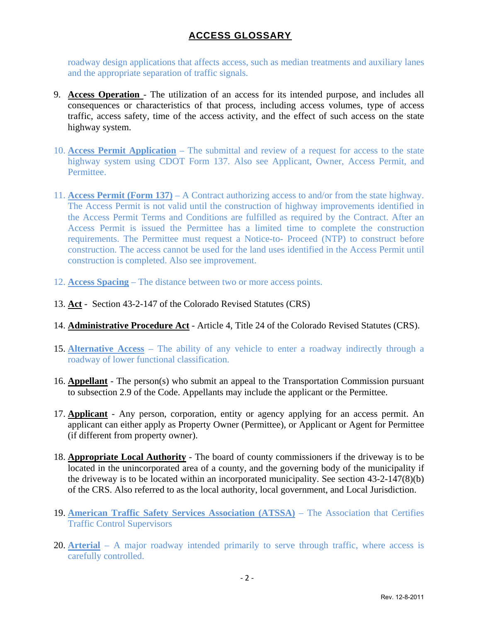roadway design applications that affects access, such as median treatments and auxiliary lanes and the appropriate separation of traffic signals.

- 9. **Access Operation**  The utilization of an access for its intended purpose, and includes all consequences or characteristics of that process, including access volumes, type of access traffic, access safety, time of the access activity, and the effect of such access on the state highway system.
- 10. **Access Permit Application** The submittal and review of a request for access to the state highway system using CDOT Form 137. Also see Applicant, Owner, Access Permit, and **Permittee.**
- 11. **Access Permit (Form 137)** A Contract authorizing access to and/or from the state highway. The Access Permit is not valid until the construction of highway improvements identified in the Access Permit Terms and Conditions are fulfilled as required by the Contract. After an Access Permit is issued the Permittee has a limited time to complete the construction requirements. The Permittee must request a Notice-to- Proceed (NTP) to construct before construction. The access cannot be used for the land uses identified in the Access Permit until construction is completed. Also see improvement.
- 12. **Access Spacing** The distance between two or more access points.
- 13. **Act** Section 43-2-147 of the Colorado Revised Statutes (CRS)
- 14. **Administrative Procedure Act** Article 4, Title 24 of the Colorado Revised Statutes (CRS).
- 15. **Alternative Access** The ability of any vehicle to enter a roadway indirectly through a roadway of lower functional classification.
- 16. **Appellant** The person(s) who submit an appeal to the Transportation Commission pursuant to subsection 2.9 of the Code. Appellants may include the applicant or the Permittee.
- 17. **Applicant** Any person, corporation, entity or agency applying for an access permit. An applicant can either apply as Property Owner (Permittee), or Applicant or Agent for Permittee (if different from property owner).
- 18. **Appropriate Local Authority** The board of county commissioners if the driveway is to be located in the unincorporated area of a county, and the governing body of the municipality if the driveway is to be located within an incorporated municipality. See section 43-2-147(8)(b) of the CRS. Also referred to as the local authority, local government, and Local Jurisdiction.
- 19. **American Traffic Safety Services Association (ATSSA)** The Association that Certifies Traffic Control Supervisors
- 20. **Arterial** A major roadway intended primarily to serve through traffic, where access is carefully controlled.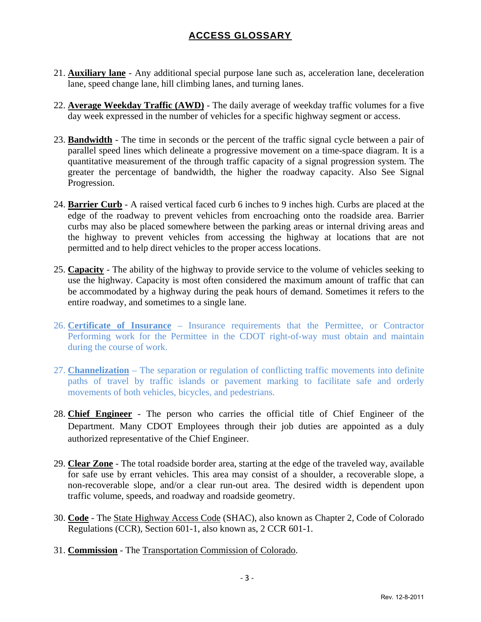- 21. **Auxiliary lane** Any additional special purpose lane such as, acceleration lane, deceleration lane, speed change lane, hill climbing lanes, and turning lanes.
- 22. **Average Weekday Traffic (AWD)** The daily average of weekday traffic volumes for a five day week expressed in the number of vehicles for a specific highway segment or access.
- 23. **Bandwidth** The time in seconds or the percent of the traffic signal cycle between a pair of parallel speed lines which delineate a progressive movement on a time-space diagram. It is a quantitative measurement of the through traffic capacity of a signal progression system. The greater the percentage of bandwidth, the higher the roadway capacity. Also See Signal Progression.
- 24. **Barrier Curb** A raised vertical faced curb 6 inches to 9 inches high. Curbs are placed at the edge of the roadway to prevent vehicles from encroaching onto the roadside area. Barrier curbs may also be placed somewhere between the parking areas or internal driving areas and the highway to prevent vehicles from accessing the highway at locations that are not permitted and to help direct vehicles to the proper access locations.
- 25. **Capacity** The ability of the highway to provide service to the volume of vehicles seeking to use the highway. Capacity is most often considered the maximum amount of traffic that can be accommodated by a highway during the peak hours of demand. Sometimes it refers to the entire roadway, and sometimes to a single lane.
- 26. **Certificate of Insurance** Insurance requirements that the Permittee, or Contractor Performing work for the Permittee in the CDOT right-of-way must obtain and maintain during the course of work.
- 27. **Channelization** The separation or regulation of conflicting traffic movements into definite paths of travel by traffic islands or pavement marking to facilitate safe and orderly movements of both vehicles, bicycles, and pedestrians.
- 28. **Chief Engineer** The person who carries the official title of Chief Engineer of the Department. Many CDOT Employees through their job duties are appointed as a duly authorized representative of the Chief Engineer.
- 29. **Clear Zone** The total roadside border area, starting at the edge of the traveled way, available for safe use by errant vehicles. This area may consist of a shoulder, a recoverable slope, a non-recoverable slope, and/or a clear run-out area. The desired width is dependent upon traffic volume, speeds, and roadway and roadside geometry.
- 30. **Code** The State Highway Access Code (SHAC), also known as Chapter 2, Code of Colorado Regulations (CCR), Section 601-1, also known as, 2 CCR 601-1.
- 31. **Commission** The Transportation Commission of Colorado.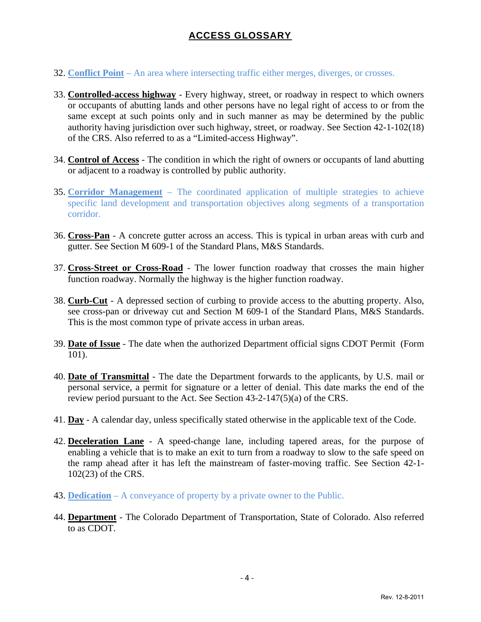- 32. **Conflict Point** An area where intersecting traffic either merges, diverges, or crosses.
- 33. **Controlled-access highway** Every highway, street, or roadway in respect to which owners or occupants of abutting lands and other persons have no legal right of access to or from the same except at such points only and in such manner as may be determined by the public authority having jurisdiction over such highway, street, or roadway. See Section 42-1-102(18) of the CRS. Also referred to as a "Limited-access Highway".
- 34. **Control of Access** The condition in which the right of owners or occupants of land abutting or adjacent to a roadway is controlled by public authority.
- 35. **Corridor Management** The coordinated application of multiple strategies to achieve specific land development and transportation objectives along segments of a transportation corridor.
- 36. **Cross-Pan** A concrete gutter across an access. This is typical in urban areas with curb and gutter. See Section M 609-1 of the Standard Plans, M&S Standards.
- 37. **Cross-Street or Cross-Road** The lower function roadway that crosses the main higher function roadway. Normally the highway is the higher function roadway.
- 38. **Curb-Cut** A depressed section of curbing to provide access to the abutting property. Also, see cross-pan or driveway cut and Section M 609-1 of the Standard Plans, M&S Standards. This is the most common type of private access in urban areas.
- 39. **Date of Issue** The date when the authorized Department official signs CDOT Permit (Form 101).
- 40. **Date of Transmittal** The date the Department forwards to the applicants, by U.S. mail or personal service, a permit for signature or a letter of denial. This date marks the end of the review period pursuant to the Act. See Section 43-2-147(5)(a) of the CRS.
- 41. **Day** A calendar day, unless specifically stated otherwise in the applicable text of the Code.
- 42. **Deceleration Lane** A speed-change lane, including tapered areas, for the purpose of enabling a vehicle that is to make an exit to turn from a roadway to slow to the safe speed on the ramp ahead after it has left the mainstream of faster-moving traffic. See Section 42-1- 102(23) of the CRS.
- 43. **Dedication** A conveyance of property by a private owner to the Public.
- 44. **Department** The Colorado Department of Transportation, State of Colorado. Also referred to as CDOT.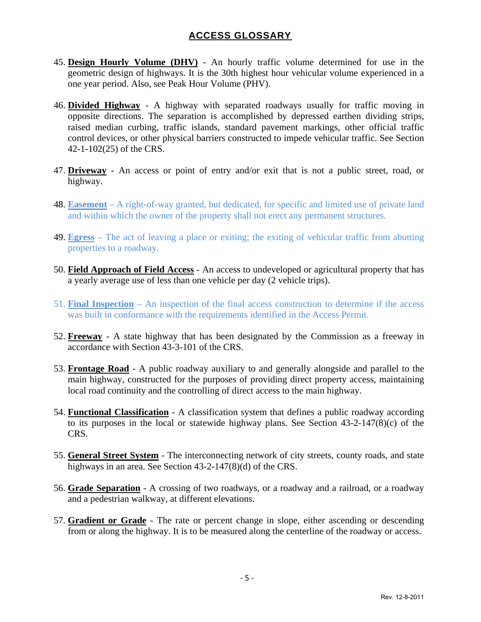- 45. **Design Hourly Volume (DHV)** An hourly traffic volume determined for use in the geometric design of highways. It is the 30th highest hour vehicular volume experienced in a one year period. Also, see Peak Hour Volume (PHV).
- 46. **Divided Highway** A highway with separated roadways usually for traffic moving in opposite directions. The separation is accomplished by depressed earthen dividing strips, raised median curbing, traffic islands, standard pavement markings, other official traffic control devices, or other physical barriers constructed to impede vehicular traffic. See Section 42-1-102(25) of the CRS.
- 47. **Driveway** An access or point of entry and/or exit that is not a public street, road, or highway.
- 48. **Easement** A right-of-way granted, but dedicated, for specific and limited use of private land and within which the owner of the property shall not erect any permanent structures.
- 49. **Egress** The act of leaving a place or exiting; the exiting of vehicular traffic from abutting properties to a roadway.
- 50. **Field Approach of Field Access** An access to undeveloped or agricultural property that has a yearly average use of less than one vehicle per day (2 vehicle trips).
- 51. **Final Inspection** An inspection of the final access construction to determine if the access was built in conformance with the requirements identified in the Access Permit.
- 52. **Freeway** A state highway that has been designated by the Commission as a freeway in accordance with Section 43-3-101 of the CRS.
- 53. **Frontage Road** A public roadway auxiliary to and generally alongside and parallel to the main highway, constructed for the purposes of providing direct property access, maintaining local road continuity and the controlling of direct access to the main highway.
- 54. **Functional Classification** A classification system that defines a public roadway according to its purposes in the local or statewide highway plans. See Section 43-2-147(8)(c) of the CRS.
- 55. **General Street System** The interconnecting network of city streets, county roads, and state highways in an area. See Section 43-2-147(8)(d) of the CRS.
- 56. **Grade Separation** A crossing of two roadways, or a roadway and a railroad, or a roadway and a pedestrian walkway, at different elevations.
- 57. **Gradient or Grade** The rate or percent change in slope, either ascending or descending from or along the highway. It is to be measured along the centerline of the roadway or access.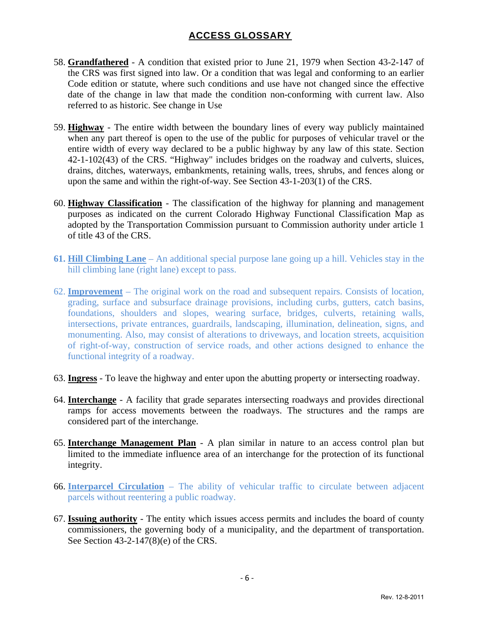- 58. **Grandfathered** A condition that existed prior to June 21, 1979 when Section 43-2-147 of the CRS was first signed into law. Or a condition that was legal and conforming to an earlier Code edition or statute, where such conditions and use have not changed since the effective date of the change in law that made the condition non-conforming with current law. Also referred to as historic. See change in Use
- 59. **Highway** The entire width between the boundary lines of every way publicly maintained when any part thereof is open to the use of the public for purposes of vehicular travel or the entire width of every way declared to be a public highway by any law of this state. Section 42-1-102(43) of the CRS. "Highway" includes bridges on the roadway and culverts, sluices, drains, ditches, waterways, embankments, retaining walls, trees, shrubs, and fences along or upon the same and within the right-of-way. See Section 43-1-203(1) of the CRS.
- 60. **Highway Classification** The classification of the highway for planning and management purposes as indicated on the current Colorado Highway Functional Classification Map as adopted by the Transportation Commission pursuant to Commission authority under article 1 of title 43 of the CRS.
- **61. Hill Climbing Lane** An additional special purpose lane going up a hill. Vehicles stay in the hill climbing lane (right lane) except to pass.
- 62. **Improvement** The original work on the road and subsequent repairs. Consists of location, grading, surface and subsurface drainage provisions, including curbs, gutters, catch basins, foundations, shoulders and slopes, wearing surface, bridges, culverts, retaining walls, intersections, private entrances, guardrails, landscaping, illumination, delineation, signs, and monumenting. Also, may consist of alterations to driveways, and location streets, acquisition of right-of-way, construction of service roads, and other actions designed to enhance the functional integrity of a roadway.
- 63. **Ingress** To leave the highway and enter upon the abutting property or intersecting roadway.
- 64. **Interchange** A facility that grade separates intersecting roadways and provides directional ramps for access movements between the roadways. The structures and the ramps are considered part of the interchange.
- 65. **Interchange Management Plan** A plan similar in nature to an access control plan but limited to the immediate influence area of an interchange for the protection of its functional integrity.
- 66. **Interparcel Circulation** The ability of vehicular traffic to circulate between adjacent parcels without reentering a public roadway.
- 67. **Issuing authority** The entity which issues access permits and includes the board of county commissioners, the governing body of a municipality, and the department of transportation. See Section 43-2-147(8)(e) of the CRS.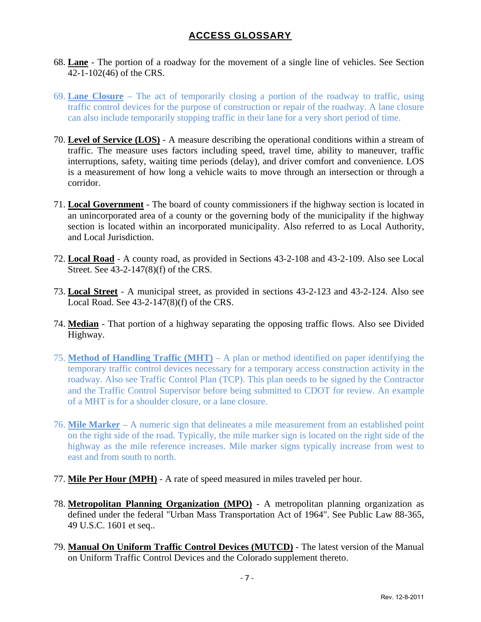- 68. **Lane** The portion of a roadway for the movement of a single line of vehicles. See Section 42-1-102(46) of the CRS.
- 69. **Lane Closure** The act of temporarily closing a portion of the roadway to traffic, using traffic control devices for the purpose of construction or repair of the roadway. A lane closure can also include temporarily stopping traffic in their lane for a very short period of time.
- 70. **Level of Service (LOS)** A measure describing the operational conditions within a stream of traffic. The measure uses factors including speed, travel time, ability to maneuver, traffic interruptions, safety, waiting time periods (delay), and driver comfort and convenience. LOS is a measurement of how long a vehicle waits to move through an intersection or through a corridor.
- 71. **Local Government** The board of county commissioners if the highway section is located in an unincorporated area of a county or the governing body of the municipality if the highway section is located within an incorporated municipality. Also referred to as Local Authority, and Local Jurisdiction.
- 72. **Local Road** A county road, as provided in Sections 43-2-108 and 43-2-109. Also see Local Street. See 43-2-147(8)(f) of the CRS.
- 73. **Local Street** A municipal street, as provided in sections 43-2-123 and 43-2-124. Also see Local Road. See 43-2-147(8)(f) of the CRS.
- 74. **Median** That portion of a highway separating the opposing traffic flows. Also see Divided Highway.
- 75. **Method of Handling Traffic (MHT)** A plan or method identified on paper identifying the temporary traffic control devices necessary for a temporary access construction activity in the roadway. Also see Traffic Control Plan (TCP). This plan needs to be signed by the Contractor and the Traffic Control Supervisor before being submitted to CDOT for review. An example of a MHT is for a shoulder closure, or a lane closure.
- 76. **Mile Marker** A numeric sign that delineates a mile measurement from an established point on the right side of the road. Typically, the mile marker sign is located on the right side of the highway as the mile reference increases. Mile marker signs typically increase from west to east and from south to north.
- 77. **Mile Per Hour (MPH)** A rate of speed measured in miles traveled per hour.
- 78. **Metropolitan Planning Organization (MPO)** A metropolitan planning organization as defined under the federal "Urban Mass Transportation Act of 1964". See Public Law 88-365, 49 U.S.C. 1601 et seq..
- 79. **Manual On Uniform Traffic Control Devices (MUTCD)** The latest version of the Manual on Uniform Traffic Control Devices and the Colorado supplement thereto.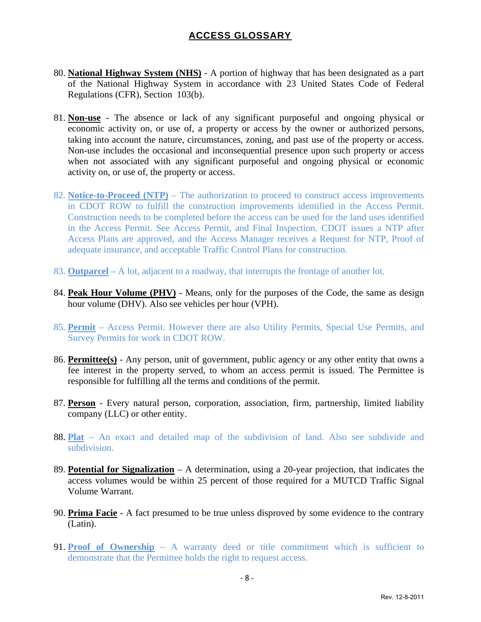- 80. **National Highway System (NHS)** A portion of highway that has been designated as a part of the National Highway System in accordance with 23 United States Code of Federal Regulations (CFR), Section 103(b).
- 81. **Non-use** The absence or lack of any significant purposeful and ongoing physical or economic activity on, or use of, a property or access by the owner or authorized persons, taking into account the nature, circumstances, zoning, and past use of the property or access. Non-use includes the occasional and inconsequential presence upon such property or access when not associated with any significant purposeful and ongoing physical or economic activity on, or use of, the property or access.
- 82. **Notice-to-Proceed (NTP)** The authorization to proceed to construct access improvements in CDOT ROW to fulfill the construction improvements identified in the Access Permit. Construction needs to be completed before the access can be used for the land uses identified in the Access Permit. See Access Permit, and Final Inspection. CDOT issues a NTP after Access Plans are approved, and the Access Manager receives a Request for NTP, Proof of adequate insurance, and acceptable Traffic Control Plans for construction.
- 83. **Outparcel** A lot, adjacent to a roadway, that interrupts the frontage of another lot.
- 84. **Peak Hour Volume (PHV)** Means, only for the purposes of the Code, the same as design hour volume (DHV). Also see vehicles per hour (VPH).
- 85. **Permit** Access Permit. However there are also Utility Permits, Special Use Permits, and Survey Permits for work in CDOT ROW.
- 86. **Permittee(s)** Any person, unit of government, public agency or any other entity that owns a fee interest in the property served, to whom an access permit is issued. The Permittee is responsible for fulfilling all the terms and conditions of the permit.
- 87. **Person** Every natural person, corporation, association, firm, partnership, limited liability company (LLC) or other entity.
- 88. **Plat** An exact and detailed map of the subdivision of land. Also see subdivide and subdivision.
- 89. **Potential for Signalization** A determination, using a 20-year projection, that indicates the access volumes would be within 25 percent of those required for a MUTCD Traffic Signal Volume Warrant.
- 90. **Prima Facie** A fact presumed to be true unless disproved by some evidence to the contrary (Latin).
- 91. **Proof of Ownership** A warranty deed or title commitment which is sufficient to demonstrate that the Permittee holds the right to request access.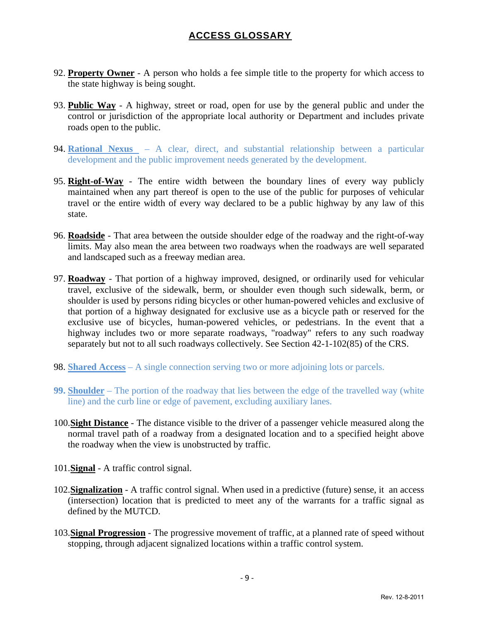- 92. **Property Owner** A person who holds a fee simple title to the property for which access to the state highway is being sought.
- 93. **Public Way** A highway, street or road, open for use by the general public and under the control or jurisdiction of the appropriate local authority or Department and includes private roads open to the public.
- 94. **Rational Nexus**  A clear, direct, and substantial relationship between a particular development and the public improvement needs generated by the development.
- 95. **Right-of-Way** The entire width between the boundary lines of every way publicly maintained when any part thereof is open to the use of the public for purposes of vehicular travel or the entire width of every way declared to be a public highway by any law of this state.
- 96. **Roadside** That area between the outside shoulder edge of the roadway and the right-of-way limits. May also mean the area between two roadways when the roadways are well separated and landscaped such as a freeway median area.
- 97. **Roadway** That portion of a highway improved, designed, or ordinarily used for vehicular travel, exclusive of the sidewalk, berm, or shoulder even though such sidewalk, berm, or shoulder is used by persons riding bicycles or other human-powered vehicles and exclusive of that portion of a highway designated for exclusive use as a bicycle path or reserved for the exclusive use of bicycles, human-powered vehicles, or pedestrians. In the event that a highway includes two or more separate roadways, "roadway" refers to any such roadway separately but not to all such roadways collectively. See Section 42-1-102(85) of the CRS.
- 98. **Shared Access** A single connection serving two or more adjoining lots or parcels.
- **99. Shoulder** The portion of the roadway that lies between the edge of the travelled way (white line) and the curb line or edge of pavement, excluding auxiliary lanes.
- 100.**Sight Distance** The distance visible to the driver of a passenger vehicle measured along the normal travel path of a roadway from a designated location and to a specified height above the roadway when the view is unobstructed by traffic.
- 101.**Signal** A traffic control signal.
- 102.**Signalization** A traffic control signal. When used in a predictive (future) sense, it an access (intersection) location that is predicted to meet any of the warrants for a traffic signal as defined by the MUTCD.
- 103.**Signal Progression** The progressive movement of traffic, at a planned rate of speed without stopping, through adjacent signalized locations within a traffic control system.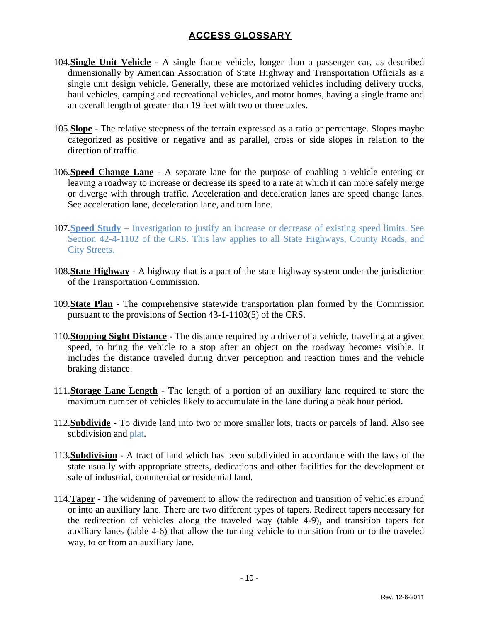- 104.**Single Unit Vehicle** A single frame vehicle, longer than a passenger car, as described dimensionally by American Association of State Highway and Transportation Officials as a single unit design vehicle. Generally, these are motorized vehicles including delivery trucks, haul vehicles, camping and recreational vehicles, and motor homes, having a single frame and an overall length of greater than 19 feet with two or three axles.
- 105.**Slope** The relative steepness of the terrain expressed as a ratio or percentage. Slopes maybe categorized as positive or negative and as parallel, cross or side slopes in relation to the direction of traffic.
- 106.**Speed Change Lane** A separate lane for the purpose of enabling a vehicle entering or leaving a roadway to increase or decrease its speed to a rate at which it can more safely merge or diverge with through traffic. Acceleration and deceleration lanes are speed change lanes. See acceleration lane, deceleration lane, and turn lane.
- 107.**Speed Study** Investigation to justify an increase or decrease of existing speed limits. See Section 42-4-1102 of the CRS. This law applies to all State Highways, County Roads, and City Streets.
- 108.**State Highway** A highway that is a part of the state highway system under the jurisdiction of the Transportation Commission.
- 109.**State Plan** The comprehensive statewide transportation plan formed by the Commission pursuant to the provisions of Section 43-1-1103(5) of the CRS.
- 110.**Stopping Sight Distance** The distance required by a driver of a vehicle, traveling at a given speed, to bring the vehicle to a stop after an object on the roadway becomes visible. It includes the distance traveled during driver perception and reaction times and the vehicle braking distance.
- 111.**Storage Lane Length** The length of a portion of an auxiliary lane required to store the maximum number of vehicles likely to accumulate in the lane during a peak hour period.
- 112.**Subdivide** To divide land into two or more smaller lots, tracts or parcels of land. Also see subdivision and plat.
- 113.**Subdivision** A tract of land which has been subdivided in accordance with the laws of the state usually with appropriate streets, dedications and other facilities for the development or sale of industrial, commercial or residential land.
- 114.**Taper** The widening of pavement to allow the redirection and transition of vehicles around or into an auxiliary lane. There are two different types of tapers. Redirect tapers necessary for the redirection of vehicles along the traveled way (table 4-9), and transition tapers for auxiliary lanes (table 4-6) that allow the turning vehicle to transition from or to the traveled way, to or from an auxiliary lane.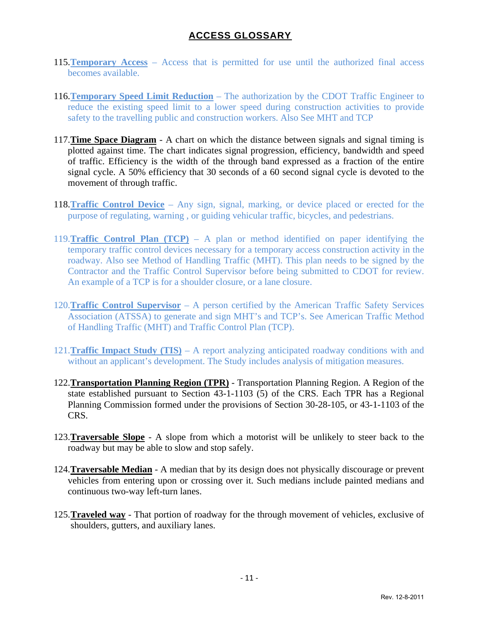- 115.**Temporary Access** Access that is permitted for use until the authorized final access becomes available.
- 116.**Temporary Speed Limit Reduction** The authorization by the CDOT Traffic Engineer to reduce the existing speed limit to a lower speed during construction activities to provide safety to the travelling public and construction workers. Also See MHT and TCP
- 117.**Time Space Diagram** A chart on which the distance between signals and signal timing is plotted against time. The chart indicates signal progression, efficiency, bandwidth and speed of traffic. Efficiency is the width of the through band expressed as a fraction of the entire signal cycle. A 50% efficiency that 30 seconds of a 60 second signal cycle is devoted to the movement of through traffic.
- 118.**Traffic Control Device** Any sign, signal, marking, or device placed or erected for the purpose of regulating, warning , or guiding vehicular traffic, bicycles, and pedestrians.
- 119.**Traffic Control Plan (TCP)** A plan or method identified on paper identifying the temporary traffic control devices necessary for a temporary access construction activity in the roadway. Also see Method of Handling Traffic (MHT). This plan needs to be signed by the Contractor and the Traffic Control Supervisor before being submitted to CDOT for review. An example of a TCP is for a shoulder closure, or a lane closure.
- 120.**Traffic Control Supervisor** A person certified by the American Traffic Safety Services Association (ATSSA) to generate and sign MHT's and TCP's. See American Traffic Method of Handling Traffic (MHT) and Traffic Control Plan (TCP).
- 121.**Traffic Impact Study (TIS)** A report analyzing anticipated roadway conditions with and without an applicant's development. The Study includes analysis of mitigation measures.
- 122.**Transportation Planning Region (TPR)** Transportation Planning Region. A Region of the state established pursuant to Section 43-1-1103 (5) of the CRS. Each TPR has a Regional Planning Commission formed under the provisions of Section 30-28-105, or 43-1-1103 of the CRS.
- 123.**Traversable Slope** A slope from which a motorist will be unlikely to steer back to the roadway but may be able to slow and stop safely.
- 124.**Traversable Median** A median that by its design does not physically discourage or prevent vehicles from entering upon or crossing over it. Such medians include painted medians and continuous two-way left-turn lanes.
- 125.**Traveled way** That portion of roadway for the through movement of vehicles, exclusive of shoulders, gutters, and auxiliary lanes.